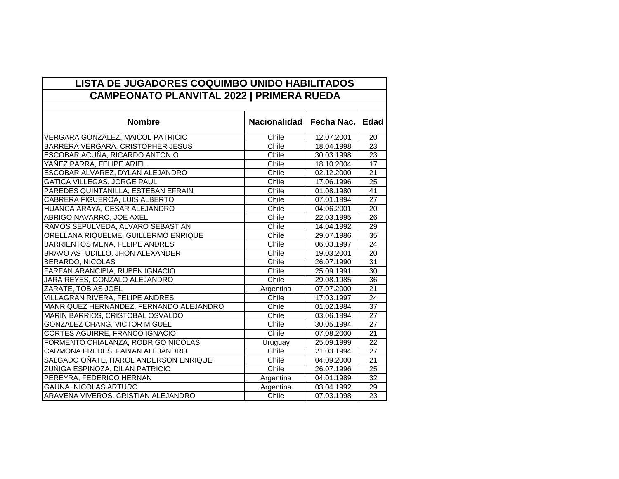| LISTA DE JUGADORES COQUIMBO UNIDO HABILITADOS    |                     |            |                 |  |  |
|--------------------------------------------------|---------------------|------------|-----------------|--|--|
| <b>CAMPEONATO PLANVITAL 2022   PRIMERA RUEDA</b> |                     |            |                 |  |  |
|                                                  |                     |            |                 |  |  |
| <b>Nombre</b>                                    | <b>Nacionalidad</b> | Fecha Nac. | <b>Edad</b>     |  |  |
| VERGARA GONZALEZ, MAICOL PATRICIO                | Chile               | 12.07.2001 | 20              |  |  |
| BARRERA VERGARA, CRISTOPHER JESUS                | Chile               | 18.04.1998 | 23              |  |  |
| <b>ESCOBAR ACUÑA, RICARDO ANTONIO</b>            | Chile               | 30.03.1998 | 23              |  |  |
| YAÑEZ PARRA, FELIPE ARIEL                        | Chile               | 18.10.2004 | 17              |  |  |
| ESCOBAR ALVAREZ, DYLAN ALEJANDRO                 | Chile               | 02.12.2000 | 21              |  |  |
| <b>GATICA VILLEGAS, JORGE PAUL</b>               | Chile               | 17.06.1996 | $\overline{25}$ |  |  |
| PAREDES QUINTANILLA, ESTEBAN EFRAIN              | Chile               | 01.08.1980 | 41              |  |  |
| <b>CABRERA FIGUEROA, LUIS ALBERTO</b>            | Chile               | 07.01.1994 | $\overline{27}$ |  |  |
| HUANCA ARAYA, CESAR ALEJANDRO                    | Chile               | 04.06.2001 | 20              |  |  |
| <b>ABRIGO NAVARRO, JOE AXEL</b>                  | Chile               | 22.03.1995 | $\overline{26}$ |  |  |
| RAMOS SEPULVEDA, ALVARO SEBASTIAN                | Chile               | 14.04.1992 | 29              |  |  |
| ORELLANA RIQUELME, GUILLERMO ENRIQUE             | Chile               | 29.07.1986 | $\overline{35}$ |  |  |
| <b>BARRIENTOS MENA, FELIPE ANDRES</b>            | Chile               | 06.03.1997 | 24              |  |  |
| BRAVO ASTUDILLO, JHON ALEXANDER                  | Chile               | 19.03.2001 | 20              |  |  |
| <b>BERARDO, NICOLAS</b>                          | Chile               | 26.07.1990 | 31              |  |  |
| FARFAN ARANCIBIA, RUBEN IGNACIO                  | Chile               | 25.09.1991 | 30              |  |  |
| JARA REYES, GONZALO ALEJANDRO                    | Chile               | 29.08.1985 | 36              |  |  |
| <b>ZARATE, TOBIAS JOEL</b>                       | Argentina           | 07.07.2000 | $\overline{21}$ |  |  |
| <b>VILLAGRAN RIVERA, FELIPE ANDRES</b>           | Chile               | 17.03.1997 | 24              |  |  |
| MANRIQUEZ HERNANDEZ, FERNANDO ALEJANDRO          | Chile               | 01.02.1984 | $\overline{37}$ |  |  |
| MARIN BARRIOS, CRISTOBAL OSVALDO                 | Chile               | 03.06.1994 | 27              |  |  |
| <b>GONZALEZ CHANG, VICTOR MIGUEL</b>             | Chile               | 30.05.1994 | 27              |  |  |
| <b>CORTES AGUIRRE, FRANCO IGNACIO</b>            | Chile               | 07.08.2000 | 21              |  |  |
| FORMENTO CHIALANZA, RODRIGO NICOLAS              | Uruguay             | 25.09.1999 | 22              |  |  |
| CARMONA FREDES, FABIAN ALEJANDRO                 | Chile               | 21.03.1994 | $\overline{27}$ |  |  |
| SALGADO OÑATE, HAROL ANDERSON ENRIQUE            | Chile               | 04.09.2000 | $\overline{21}$ |  |  |
| ZUÑIGA ESPINOZA, DILAN PATRICIO                  | Chile               | 26.07.1996 | $\overline{25}$ |  |  |
| PEREYRA, FEDERICO HERNAN                         | Argentina           | 04.01.1989 | 32              |  |  |
| <b>GAUNA, NICOLAS ARTURO</b>                     | Argentina           | 03.04.1992 | 29              |  |  |
| ARAVENA VIVEROS, CRISTIAN ALEJANDRO              | Chile               | 07.03.1998 | 23              |  |  |

 $\blacksquare$